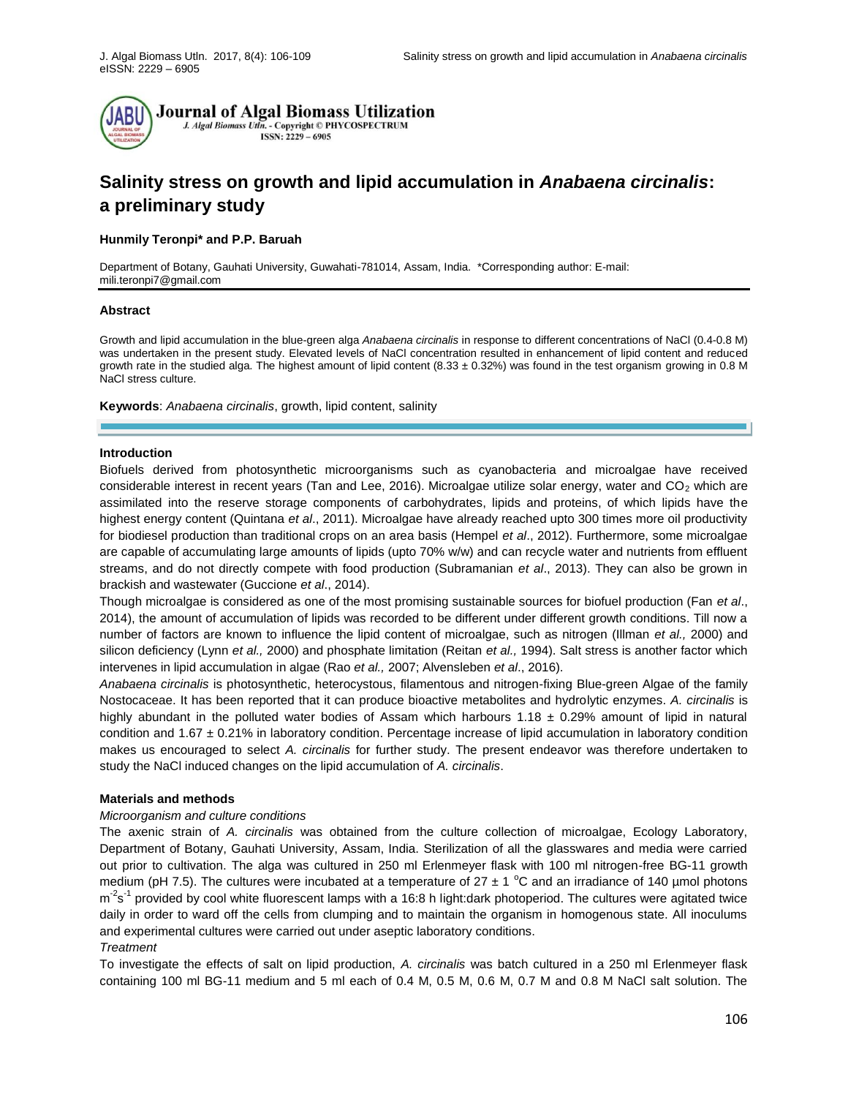

# **Salinity stress on growth and lipid accumulation in** *Anabaena circinalis***: a preliminary study**

## **Hunmily Teronpi\* and P.P. Baruah**

Department of Botany, Gauhati University, Guwahati-781014, Assam, India. \*Corresponding author: E-mail: [mili.teronpi7@gmail.com](mailto:mili.teronpi7@gmail.com)

## **Abstract**

Growth and lipid accumulation in the blue-green alga *Anabaena circinalis* in response to different concentrations of NaCl (0.4-0.8 M) was undertaken in the present study. Elevated levels of NaCl concentration resulted in enhancement of lipid content and reduced growth rate in the studied alga. The highest amount of lipid content  $(8.33 \pm 0.32\%)$  was found in the test organism growing in 0.8 M NaCl stress culture.

**Keywords**: *Anabaena circinalis*, growth, lipid content, salinity

#### **Introduction**

Biofuels derived from photosynthetic microorganisms such as cyanobacteria and microalgae have received considerable interest in recent years (Tan and Lee, 2016). Microalgae utilize solar energy, water and  $CO<sub>2</sub>$  which are assimilated into the reserve storage components of carbohydrates, lipids and proteins, of which lipids have the highest energy content (Quintana *et al*., 2011). Microalgae have already reached upto 300 times more oil productivity for biodiesel production than traditional crops on an area basis (Hempel *et al*., 2012). Furthermore, some microalgae are capable of accumulating large amounts of lipids (upto 70% w/w) and can recycle water and nutrients from effluent streams, and do not directly compete with food production (Subramanian *et al*., 2013). They can also be grown in brackish and wastewater (Guccione *et al*., 2014).

Though microalgae is considered as one of the most promising sustainable sources for biofuel production (Fan *et al*., 2014), the amount of accumulation of lipids was recorded to be different under different growth conditions. Till now a number of factors are known to influence the lipid content of microalgae, such as nitrogen (Illman *et al.,* 2000) and silicon deficiency (Lynn *et al.,* 2000) and phosphate limitation (Reitan *et al.,* 1994). Salt stress is another factor which intervenes in lipid accumulation in algae (Rao *et al.,* 2007; Alvensleben *et al*., 2016).

*Anabaena circinalis* is photosynthetic, heterocystous, filamentous and nitrogen-fixing Blue-green Algae of the family Nostocaceae. It has been reported that it can produce bioactive metabolites and hydrolytic enzymes. *A. circinalis* is highly abundant in the polluted water bodies of Assam which harbours  $1.18 \pm 0.29\%$  amount of lipid in natural condition and 1.67  $\pm$  0.21% in laboratory condition. Percentage increase of lipid accumulation in laboratory condition makes us encouraged to select *A. circinalis* for further study. The present endeavor was therefore undertaken to study the NaCl induced changes on the lipid accumulation of *A. circinalis*.

## **Materials and methods**

## *Microorganism and culture conditions*

The axenic strain of *A. circinalis* was obtained from the culture collection of microalgae, Ecology Laboratory, Department of Botany, Gauhati University, Assam, India. Sterilization of all the glasswares and media were carried out prior to cultivation. The alga was cultured in 250 ml Erlenmeyer flask with 100 ml nitrogen-free BG-11 growth medium (pH 7.5). The cultures were incubated at a temperature of  $27 \pm 1$  °C and an irradiance of 140 µmol photons m<sup>-2</sup>s<sup>-1</sup> provided by cool white fluorescent lamps with a 16:8 h light:dark photoperiod. The cultures were agitated twice daily in order to ward off the cells from clumping and to maintain the organism in homogenous state. All inoculums and experimental cultures were carried out under aseptic laboratory conditions.

# *Treatment*

To investigate the effects of salt on lipid production, *A. circinalis* was batch cultured in a 250 ml Erlenmeyer flask containing 100 ml BG-11 medium and 5 ml each of 0.4 M, 0.5 M, 0.6 M, 0.7 M and 0.8 M NaCl salt solution. The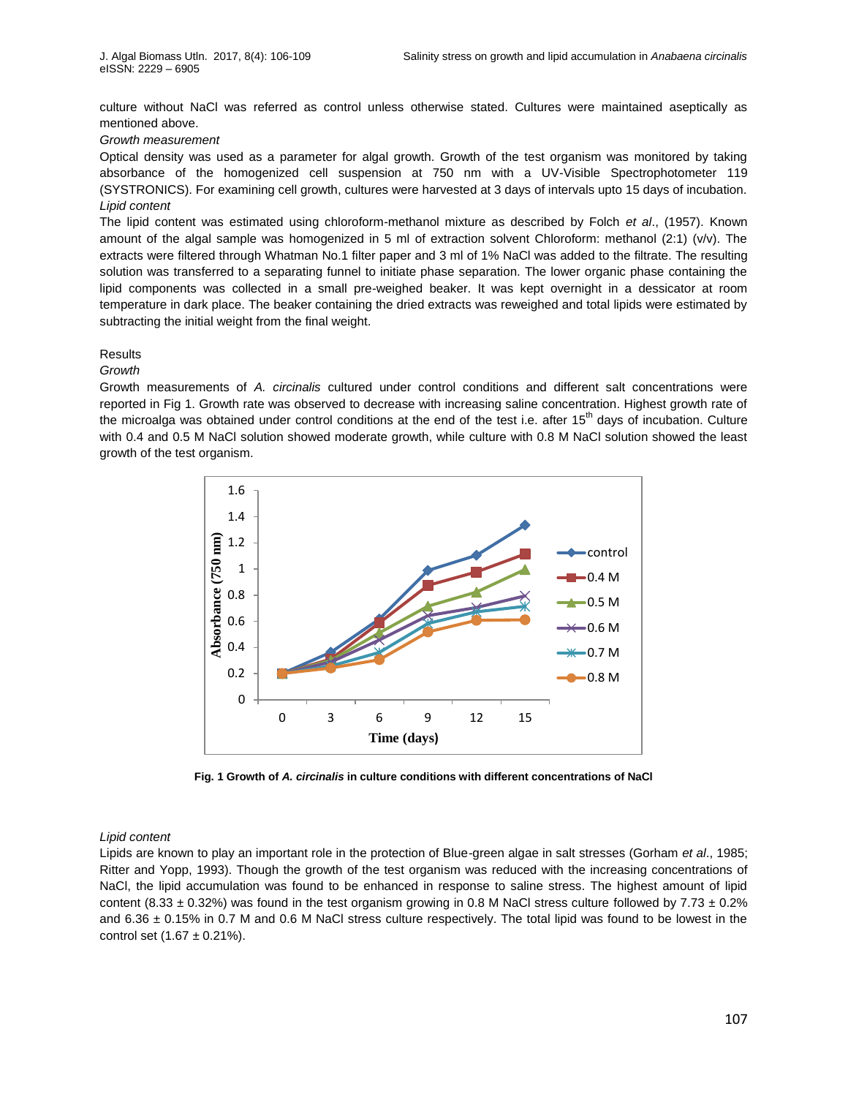culture without NaCl was referred as control unless otherwise stated. Cultures were maintained aseptically as mentioned above.

# *Growth measurement*

Optical density was used as a parameter for algal growth. Growth of the test organism was monitored by taking absorbance of the homogenized cell suspension at 750 nm with a UV-Visible Spectrophotometer 119 (SYSTRONICS). For examining cell growth, cultures were harvested at 3 days of intervals upto 15 days of incubation. *Lipid content*

The lipid content was estimated using chloroform-methanol mixture as described by Folch *et al*., (1957). Known amount of the algal sample was homogenized in 5 ml of extraction solvent Chloroform: methanol (2:1) (v/v). The extracts were filtered through Whatman No.1 filter paper and 3 ml of 1% NaCl was added to the filtrate. The resulting solution was transferred to a separating funnel to initiate phase separation. The lower organic phase containing the lipid components was collected in a small pre-weighed beaker. It was kept overnight in a dessicator at room temperature in dark place. The beaker containing the dried extracts was reweighed and total lipids were estimated by subtracting the initial weight from the final weight.

#### **Results**

*Growth* 

Growth measurements of *A. circinalis* cultured under control conditions and different salt concentrations were reported in Fig 1. Growth rate was observed to decrease with increasing saline concentration. Highest growth rate of the microalga was obtained under control conditions at the end of the test i.e. after  $15<sup>th</sup>$  days of incubation. Culture with 0.4 and 0.5 M NaCl solution showed moderate growth, while culture with 0.8 M NaCl solution showed the least growth of the test organism.



**Fig. 1 Growth of** *A. circinalis* **in culture conditions with different concentrations of NaCl**

#### *Lipid content*

Lipids are known to play an important role in the protection of Blue-green algae in salt stresses (Gorham *et al*., 1985; Ritter and Yopp, 1993). Though the growth of the test organism was reduced with the increasing concentrations of NaCl, the lipid accumulation was found to be enhanced in response to saline stress. The highest amount of lipid content (8.33  $\pm$  0.32%) was found in the test organism growing in 0.8 M NaCl stress culture followed by 7.73  $\pm$  0.2% and  $6.36 \pm 0.15\%$  in 0.7 M and 0.6 M NaCl stress culture respectively. The total lipid was found to be lowest in the control set  $(1.67 \pm 0.21\%)$ .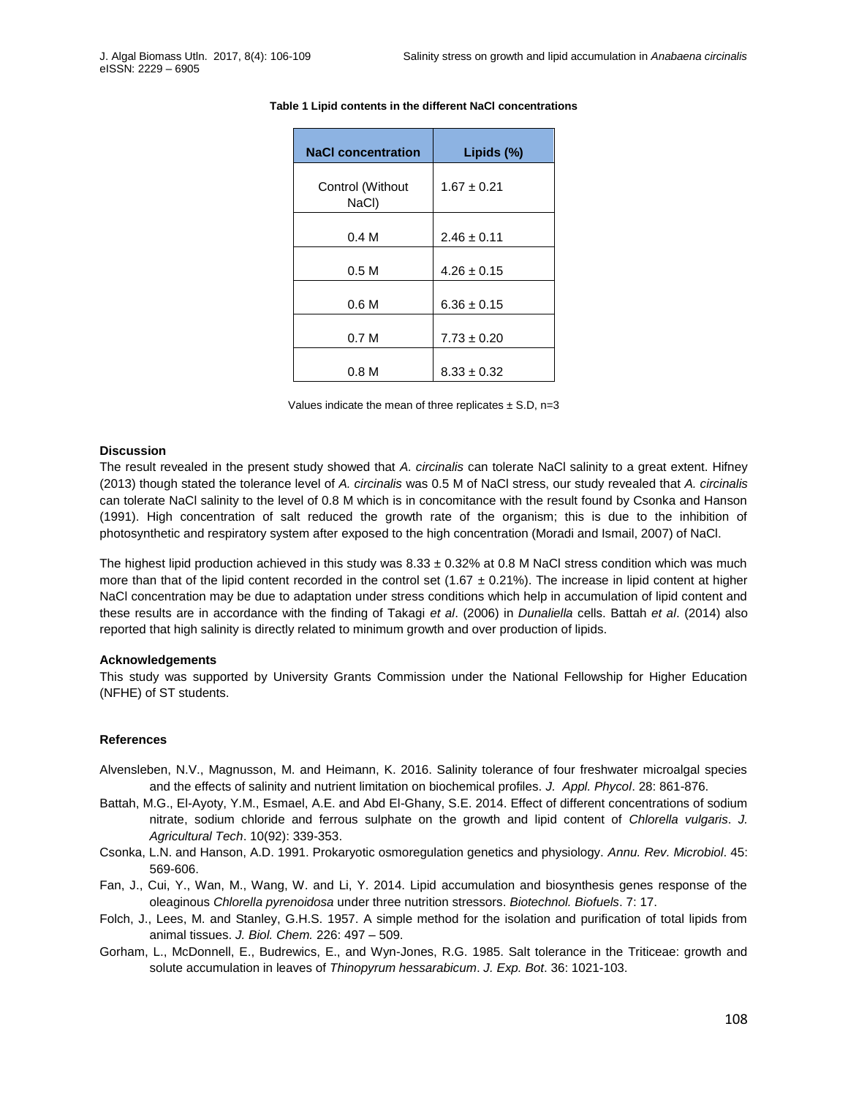| <b>NaCl concentration</b> | Lipids $(\%)$   |
|---------------------------|-----------------|
| Control (Without<br>NaCl) | $1.67 \pm 0.21$ |
| 0.4 M                     | $2.46 \pm 0.11$ |
| 0.5 <sub>M</sub>          | $4.26 \pm 0.15$ |
| 0.6 <sub>M</sub>          | $6.36 \pm 0.15$ |
| 0.7 <sub>M</sub>          | $7.73 \pm 0.20$ |
| 0.8 M                     | $8.33 \pm 0.32$ |

#### **Table 1 Lipid contents in the different NaCl concentrations**

Values indicate the mean of three replicates  $\pm$  S.D, n=3

### **Discussion**

The result revealed in the present study showed that *A. circinalis* can tolerate NaCl salinity to a great extent. Hifney (2013) though stated the tolerance level of *A. circinalis* was 0.5 M of NaCl stress, our study revealed that *A. circinalis*  can tolerate NaCl salinity to the level of 0.8 M which is in concomitance with the result found by Csonka and Hanson (1991). High concentration of salt reduced the growth rate of the organism; this is due to the inhibition of photosynthetic and respiratory system after exposed to the high concentration (Moradi and Ismail, 2007) of NaCl.

The highest lipid production achieved in this study was  $8.33 \pm 0.32\%$  at 0.8 M NaCl stress condition which was much more than that of the lipid content recorded in the control set (1.67  $\pm$  0.21%). The increase in lipid content at higher NaCl concentration may be due to adaptation under stress conditions which help in accumulation of lipid content and these results are in accordance with the finding of Takagi *et al*. (2006) in *Dunaliella* cells. Battah *et al*. (2014) also reported that high salinity is directly related to minimum growth and over production of lipids.

# **Acknowledgements**

This study was supported by University Grants Commission under the National Fellowship for Higher Education (NFHE) of ST students.

# **References**

- Alvensleben, N.V., Magnusson, M. and Heimann, K. 2016. Salinity tolerance of four freshwater microalgal species and the effects of salinity and nutrient limitation on biochemical profiles. *J. Appl. Phycol*. 28: 861-876.
- Battah, M.G., El-Ayoty, Y.M., Esmael, A.E. and Abd El-Ghany, S.E. 2014. Effect of different concentrations of sodium nitrate, sodium chloride and ferrous sulphate on the growth and lipid content of *Chlorella vulgaris*. *J. Agricultural Tech*. 10(92): 339-353.
- Csonka, L.N. and Hanson, A.D. 1991. Prokaryotic osmoregulation genetics and physiology. *Annu. Rev. Microbiol*. 45: 569-606.
- Fan, J., Cui, Y., Wan, M., Wang, W. and Li, Y. 2014. Lipid accumulation and biosynthesis genes response of the oleaginous *Chlorella pyrenoidosa* under three nutrition stressors. *Biotechnol. Biofuels*. 7: 17.
- Folch, J., Lees, M. and Stanley, G.H.S. 1957. A simple method for the isolation and purification of total lipids from animal tissues. *J. Biol. Chem.* 226: 497 – 509.
- Gorham, L., McDonnell, E., Budrewics, E., and Wyn-Jones, R.G. 1985. Salt tolerance in the Triticeae: growth and solute accumulation in leaves of *Thinopyrum hessarabicum*. *J. Exp. Bot*. 36: 1021-103.